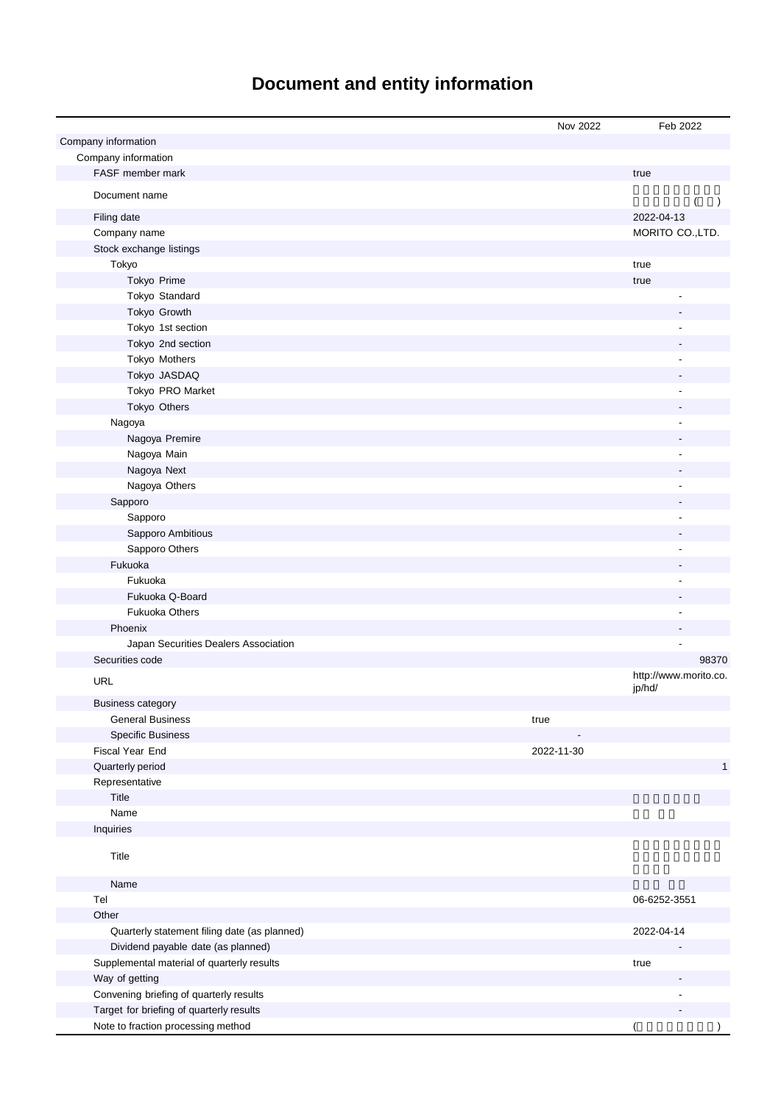# **Document and entity information**

|                                              | Nov 2022   | Feb 2022                 |
|----------------------------------------------|------------|--------------------------|
| Company information                          |            |                          |
| Company information                          |            |                          |
| FASF member mark                             |            | true                     |
| Document name                                |            |                          |
| Filing date                                  |            | $\lambda$<br>2022-04-13  |
| Company name                                 |            | MORITO CO., LTD.         |
| Stock exchange listings                      |            |                          |
| Tokyo                                        |            | true                     |
| Tokyo Prime                                  |            | true                     |
| Tokyo Standard                               |            |                          |
| Tokyo Growth                                 |            |                          |
| Tokyo 1st section                            |            |                          |
| Tokyo 2nd section                            |            |                          |
|                                              |            |                          |
| Tokyo Mothers                                |            |                          |
| Tokyo JASDAQ                                 |            |                          |
| Tokyo PRO Market                             |            |                          |
| Tokyo Others                                 |            |                          |
| Nagoya                                       |            |                          |
| Nagoya Premire                               |            |                          |
| Nagoya Main                                  |            |                          |
| Nagoya Next                                  |            |                          |
| Nagoya Others                                |            |                          |
| Sapporo                                      |            |                          |
| Sapporo                                      |            |                          |
| Sapporo Ambitious                            |            |                          |
| Sapporo Others                               |            |                          |
| Fukuoka                                      |            |                          |
| Fukuoka                                      |            |                          |
| Fukuoka Q-Board                              |            |                          |
| <b>Fukuoka Others</b>                        |            |                          |
| Phoenix                                      |            |                          |
| Japan Securities Dealers Association         |            |                          |
| Securities code                              |            | 98370                    |
| <b>URL</b>                                   |            | http://www.morito.co.    |
|                                              |            | jp/hd/                   |
| <b>Business category</b>                     |            |                          |
| <b>General Business</b>                      | true       |                          |
| <b>Specific Business</b>                     |            |                          |
| Fiscal Year End                              | 2022-11-30 |                          |
| Quarterly period                             |            | $\mathbf{1}$             |
| Representative                               |            |                          |
| Title                                        |            |                          |
| Name                                         |            |                          |
| Inquiries                                    |            |                          |
| Title                                        |            |                          |
| Name                                         |            |                          |
| Tel                                          |            | 06-6252-3551             |
| Other                                        |            |                          |
| Quarterly statement filing date (as planned) |            | 2022-04-14               |
| Dividend payable date (as planned)           |            |                          |
| Supplemental material of quarterly results   |            | true                     |
| Way of getting                               |            |                          |
| Convening briefing of quarterly results      |            |                          |
| Target for briefing of quarterly results     |            |                          |
| Note to fraction processing method           |            | $\overline{\phantom{a}}$ |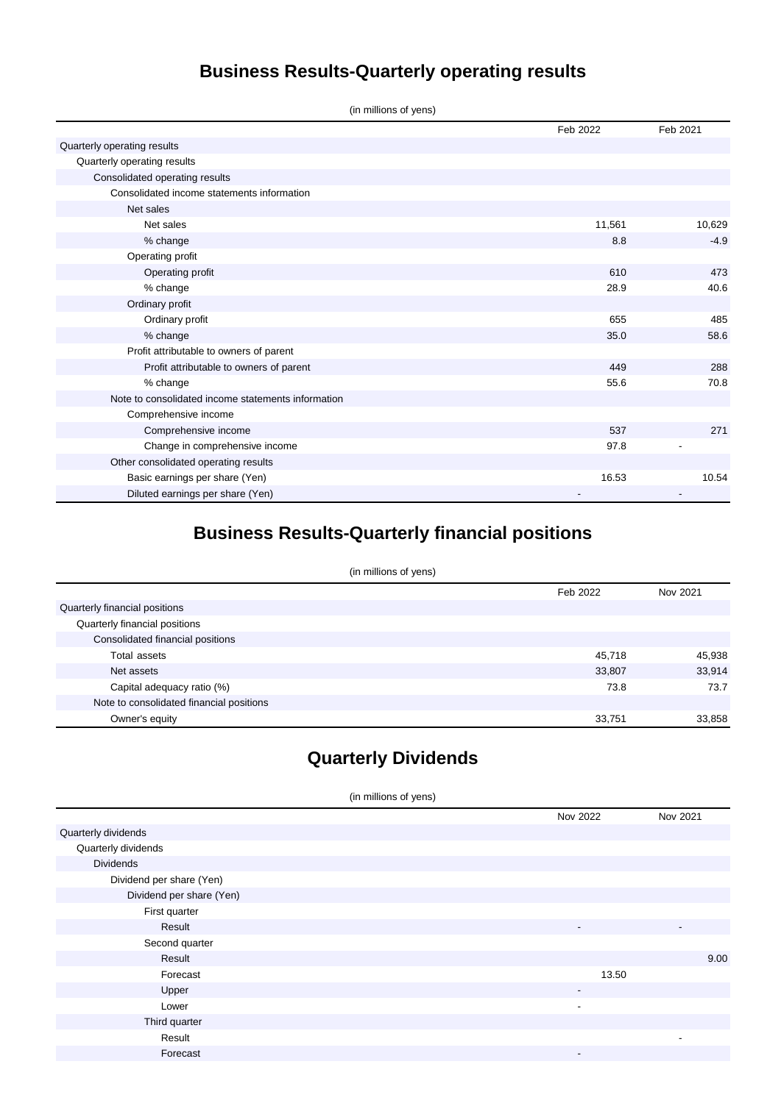## **Business Results-Quarterly operating results**

(in millions of yens)

|                                                    | Feb 2022 | Feb 2021 |
|----------------------------------------------------|----------|----------|
| Quarterly operating results                        |          |          |
| Quarterly operating results                        |          |          |
| Consolidated operating results                     |          |          |
| Consolidated income statements information         |          |          |
| Net sales                                          |          |          |
| Net sales                                          | 11,561   | 10,629   |
| % change                                           | 8.8      | $-4.9$   |
| Operating profit                                   |          |          |
| Operating profit                                   | 610      | 473      |
| % change                                           | 28.9     | 40.6     |
| Ordinary profit                                    |          |          |
| Ordinary profit                                    | 655      | 485      |
| % change                                           | 35.0     | 58.6     |
| Profit attributable to owners of parent            |          |          |
| Profit attributable to owners of parent            | 449      | 288      |
| % change                                           | 55.6     | 70.8     |
| Note to consolidated income statements information |          |          |
| Comprehensive income                               |          |          |
| Comprehensive income                               | 537      | 271      |
| Change in comprehensive income                     | 97.8     |          |
| Other consolidated operating results               |          |          |
| Basic earnings per share (Yen)                     | 16.53    | 10.54    |
| Diluted earnings per share (Yen)                   |          |          |

## **Business Results-Quarterly financial positions**

| (in millions of yens) |
|-----------------------|
|                       |

|                                          | Feb 2022 | Nov 2021 |
|------------------------------------------|----------|----------|
| Quarterly financial positions            |          |          |
| Quarterly financial positions            |          |          |
| Consolidated financial positions         |          |          |
| Total assets                             | 45,718   | 45,938   |
| Net assets                               | 33,807   | 33,914   |
| Capital adequacy ratio (%)               | 73.8     | 73.7     |
| Note to consolidated financial positions |          |          |
| Owner's equity                           | 33,751   | 33,858   |

### **Quarterly Dividends**

(in millions of yens)

|                          | Nov 2022 | Nov 2021                 |
|--------------------------|----------|--------------------------|
| Quarterly dividends      |          |                          |
| Quarterly dividends      |          |                          |
| <b>Dividends</b>         |          |                          |
| Dividend per share (Yen) |          |                          |
| Dividend per share (Yen) |          |                          |
| First quarter            |          |                          |
| Result                   | ٠        | $\overline{\phantom{a}}$ |
| Second quarter           |          |                          |
| Result                   |          | 9.00                     |
| Forecast                 | 13.50    |                          |
| Upper                    | ۰        |                          |
| Lower                    | ٠        |                          |
| Third quarter            |          |                          |
| Result                   |          | $\overline{\phantom{a}}$ |
| Forecast                 | ٠        |                          |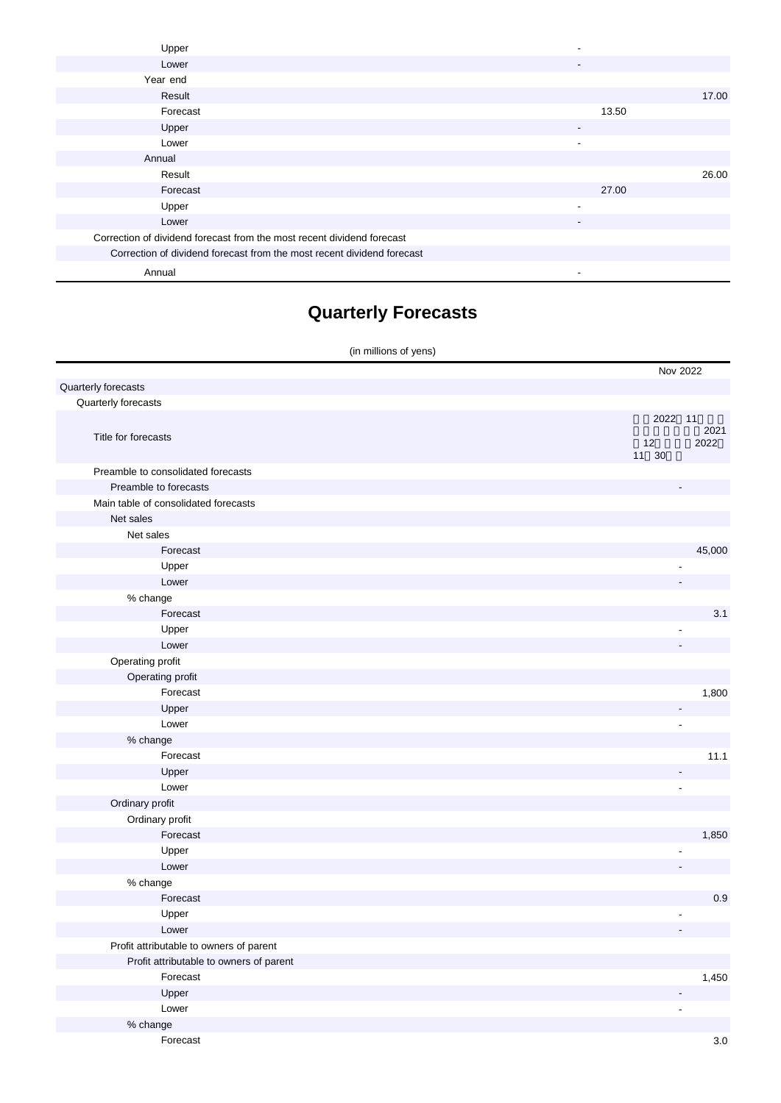| Upper                                                                  |                          |       |       |
|------------------------------------------------------------------------|--------------------------|-------|-------|
| Lower                                                                  | -                        |       |       |
| Year end                                                               |                          |       |       |
| Result                                                                 |                          |       | 17.00 |
| Forecast                                                               |                          | 13.50 |       |
| Upper                                                                  | $\overline{\phantom{a}}$ |       |       |
| Lower                                                                  | $\blacksquare$           |       |       |
| Annual                                                                 |                          |       |       |
| Result                                                                 |                          |       | 26.00 |
| Forecast                                                               |                          | 27.00 |       |
| Upper                                                                  | $\overline{\phantom{a}}$ |       |       |
| Lower                                                                  | $\overline{\phantom{a}}$ |       |       |
| Correction of dividend forecast from the most recent dividend forecast |                          |       |       |
| Correction of dividend forecast from the most recent dividend forecast |                          |       |       |
| Annual                                                                 |                          |       |       |

## **Quarterly Forecasts**

|                                         | (in millions of yens)    |              |
|-----------------------------------------|--------------------------|--------------|
|                                         | Nov 2022                 |              |
| Quarterly forecasts                     |                          |              |
| Quarterly forecasts                     |                          |              |
| Title for forecasts                     | 2022 11<br>12<br>11 30   | 2021<br>2022 |
| Preamble to consolidated forecasts      |                          |              |
| Preamble to forecasts                   |                          |              |
| Main table of consolidated forecasts    |                          |              |
| Net sales                               |                          |              |
| Net sales                               |                          |              |
| Forecast                                |                          | 45,000       |
| Upper                                   | ٠                        |              |
| Lower                                   |                          |              |
| % change                                |                          |              |
| Forecast                                |                          | 3.1          |
| Upper                                   | $\overline{\phantom{a}}$ |              |
| Lower                                   |                          |              |
| Operating profit                        |                          |              |
| Operating profit                        |                          |              |
| Forecast                                |                          | 1,800        |
| Upper                                   | $\overline{a}$           |              |
| Lower                                   | ä,                       |              |
| % change                                |                          |              |
| Forecast                                |                          | 11.1         |
| Upper                                   |                          |              |
| Lower                                   | $\overline{a}$           |              |
| Ordinary profit                         |                          |              |
| Ordinary profit                         |                          |              |
| Forecast                                |                          | 1,850        |
| Upper                                   | ÷,                       |              |
| Lower                                   |                          |              |
| % change                                |                          |              |
| Forecast                                |                          | 0.9          |
| Upper                                   | $\overline{\phantom{a}}$ |              |
| Lower                                   |                          |              |
| Profit attributable to owners of parent |                          |              |
| Profit attributable to owners of parent |                          |              |
| Forecast                                |                          | 1,450        |
| Upper                                   |                          |              |
| Lower                                   |                          |              |
| % change                                |                          |              |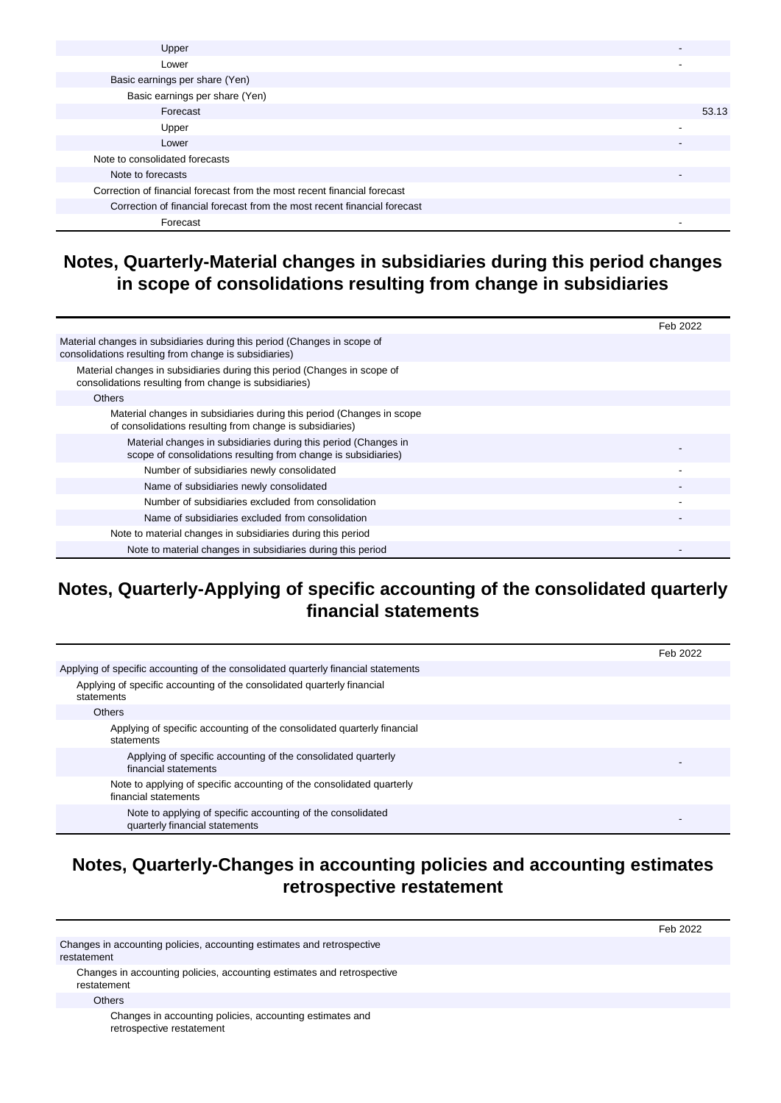| Upper                                                                    |       |
|--------------------------------------------------------------------------|-------|
| Lower                                                                    |       |
| Basic earnings per share (Yen)                                           |       |
| Basic earnings per share (Yen)                                           |       |
| Forecast                                                                 | 53.13 |
| Upper                                                                    |       |
| Lower                                                                    |       |
| Note to consolidated forecasts                                           |       |
| Note to forecasts                                                        |       |
| Correction of financial forecast from the most recent financial forecast |       |
| Correction of financial forecast from the most recent financial forecast |       |
| Forecast                                                                 | -     |

### **Notes, Quarterly-Material changes in subsidiaries during this period changes in scope of consolidations resulting from change in subsidiaries**

|                                                                                                                                   | Feb 2022 |
|-----------------------------------------------------------------------------------------------------------------------------------|----------|
| Material changes in subsidiaries during this period (Changes in scope of<br>consolidations resulting from change is subsidiaries) |          |
| Material changes in subsidiaries during this period (Changes in scope of<br>consolidations resulting from change is subsidiaries) |          |
| <b>Others</b>                                                                                                                     |          |
| Material changes in subsidiaries during this period (Changes in scope<br>of consolidations resulting from change is subsidiaries) |          |
| Material changes in subsidiaries during this period (Changes in<br>scope of consolidations resulting from change is subsidiaries) |          |
| Number of subsidiaries newly consolidated                                                                                         |          |
| Name of subsidiaries newly consolidated                                                                                           |          |
| Number of subsidiaries excluded from consolidation                                                                                |          |
| Name of subsidiaries excluded from consolidation                                                                                  |          |
| Note to material changes in subsidiaries during this period                                                                       |          |
| Note to material changes in subsidiaries during this period                                                                       |          |

### **Notes, Quarterly-Applying of specific accounting of the consolidated quarterly financial statements**

|                                                                                               | Feb 2022 |
|-----------------------------------------------------------------------------------------------|----------|
| Applying of specific accounting of the consolidated quarterly financial statements            |          |
| Applying of specific accounting of the consolidated quarterly financial<br>statements         |          |
| <b>Others</b>                                                                                 |          |
| Applying of specific accounting of the consolidated quarterly financial<br>statements         |          |
| Applying of specific accounting of the consolidated quarterly<br>financial statements         |          |
| Note to applying of specific accounting of the consolidated quarterly<br>financial statements |          |
| Note to applying of specific accounting of the consolidated<br>quarterly financial statements |          |

#### **Notes, Quarterly-Changes in accounting policies and accounting estimates retrospective restatement**

Feb 2022

Changes in accounting policies, accounting estimates and retrospective restatement Changes in accounting policies, accounting estimates and retrospective

restatement

**Others** 

Changes in accounting policies, accounting estimates and retrospective restatement